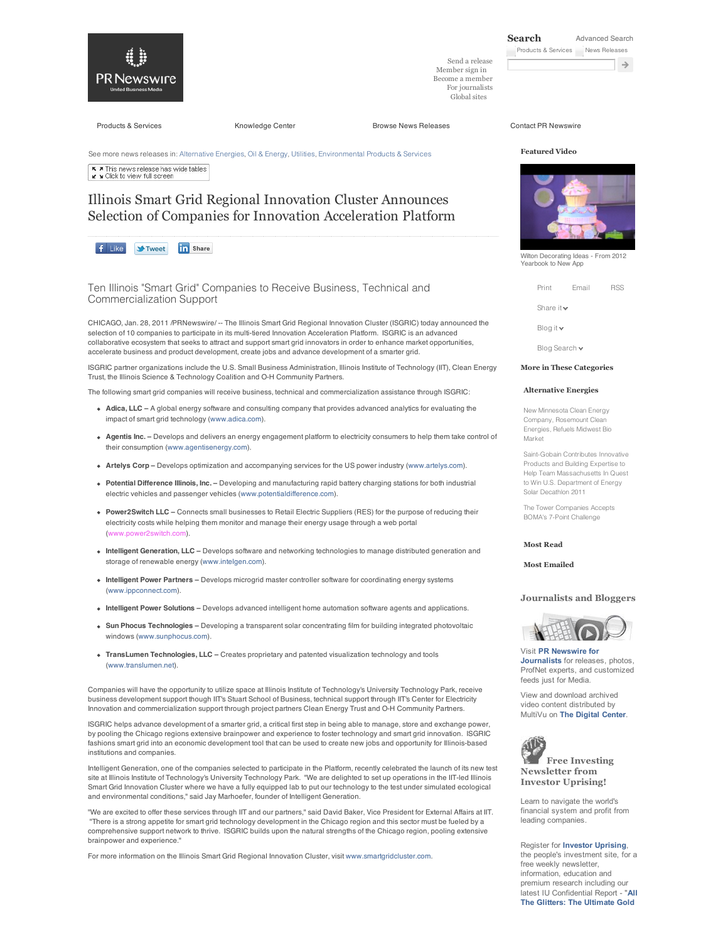

Send a release Member sign in Become a member For journalists

Global sites

Products & Services **Knowledge Center** Browse News Releases Contact PR Newswire

See more news releases in: Alternative Energies, Oil & Energy, Utilities, Environmental Products & Services A This news release has wide tables<br>
x s Click to view full screen

# Illinois Smart Grid Regional Innovation Cluster Announces Selection of Companies for Innovation Acceleration Platform

**in** Share  $f$  Like **M**Tweet

Ten Illinois "Smart Grid" Companies to Receive Business, Technical and Commercialization Support

CHICAGO, Jan. 28, 2011 /PRNewswire/ -- The Illinois Smart Grid Regional Innovation Cluster (ISGRIC) today announced the selection of 10 companies to participate in its multi-tiered Innovation Acceleration Platform. ISGRIC is an advanced collaborative ecosystem that seeks to attract and support smart grid innovators in order to enhance market opportunities, accelerate business and product development, create jobs and advance development of a smarter grid.

ISGRIC partner organizations include the U.S. Small Business Administration, Illinois Institute of Technology (IIT), Clean Energy Trust, the Illinois Science & Technology Coalition and O-H Community Partners.

The following smart grid companies will receive business, technical and commercialization assistance through ISGRIC:

- **Adica, LLC** A global energy software and consulting company that provides advanced analytics for evaluating the impact of smart grid technology (www.adica.com).
- **Agentis Inc.** Develops and delivers an energy engagement platform to electricity consumers to help them take control of their consumption (www.agentisenergy.com).
- **Artelys Corp** Develops optimization and accompanying services for the US power industry (www.artelys.com).
- **Potential Difference Illinois, Inc.** Developing and manufacturing rapid battery charging stations for both industrial electric vehicles and passenger vehicles (www.potentialdifference.com).
- **Power2Switch LLC** Connects small businesses to Retail Electric Suppliers (RES) for the purpose of reducing their electricity costs while helping them monitor and manage their energy usage through a web portal (www.power2switch.com).
- **Intelligent Generation, LLC** Develops software and networking technologies to manage distributed generation and storage of renewable energy (www.intelgen.com).
- **Intelligent Power Partners** Develops microgrid master controller software for coordinating energy systems (www.ippconnect.com).
- **Intelligent Power Solutions** Develops advanced intelligent home automation software agents and applications.
- **Sun Phocus Technologies** Developing a transparent solar concentrating film for building integrated photovoltaic windows (www.sunphocus.com).
- **TransLumen Technologies, LLC** Creates proprietary and patented visualization technology and tools (www.translumen.net).

Companies will have the opportunity to utilize space at Illinois Institute of Technology's University Technology Park, receive business development support though IIT's Stuart School of Business, technical support through IIT's Center for Electricity Innovation and commercialization support through project partners Clean Energy Trust and O-H Community Partners.

ISGRIC helps advance development of a smarter grid, a critical first step in being able to manage, store and exchange power, by pooling the Chicago regions extensive brainpower and experience to foster technology and smart grid innovation. ISGRIC fashions smart grid into an economic development tool that can be used to create new jobs and opportunity for Illinois-based institutions and companies.

Intelligent Generation, one of the companies selected to participate in the Platform, recently celebrated the launch of its new test site at Illinois Institute of Technology's University Technology Park. "We are delighted to set up operations in the IIT-led Illinois Smart Grid Innovation Cluster where we have a fully equipped lab to put our technology to the test under simulated ecological and environmental conditions," said Jay Marhoefer, founder of Intelligent Generation.

"We are excited to offer these services through IIT and our partners," said David Baker, Vice President for External Affairs at IIT. "There is a strong appetite for smart grid technology development in the Chicago region and this sector must be fueled by a comprehensive support network to thrive. ISGRIC builds upon the natural strengths of the Chicago region, pooling extensive brainpower and experience.

For more information on the Illinois Smart Grid Regional Innovation Cluster, visit www.smartgridcluster.com.

## **Featured Video**



Wilton Decorating Ideas - From 2012 Yearbook to New App

Print Email RSS

Share it  $\sim$ 

Blog it

Blog Search  $\blacktriangleright$ 

#### **More in These Categories**

## **Alternative Energies**

New Minnesota Clean Energy Company, Rosemount Clea Energies, Refuels Midwest Bio Market

Saint-Gobain Contributes Innovative Products and Building Expertise to Help Team Massachusetts In Quest to Win U.S. Department of Energy Solar Decathlon 2011

The Tower Companies Accepts BOMA's 7-Point Challenge

**Most Read**

**Most Emailed**

#### **Journalists and Bloggers**



Visit **PR Newswire for Journalists** for releases, photos, ProfNet experts, and customized feeds just for Media.

View and download archived video content distributed by MultiVu on **The Digital Center**.



**Free Investing Newsletter from Investor Uprising!**

Learn to navigate the world's financial system and profit from leading companies.

Register for **Investor Uprising**, the people's investment site, for a free weekly newsletter, information, education and premium research including our latest IU Confidential Report - "**All The Glitters: The Ultimate Gold**

**Search** Advanced Search Products & Services News Releases

 $\rightarrow$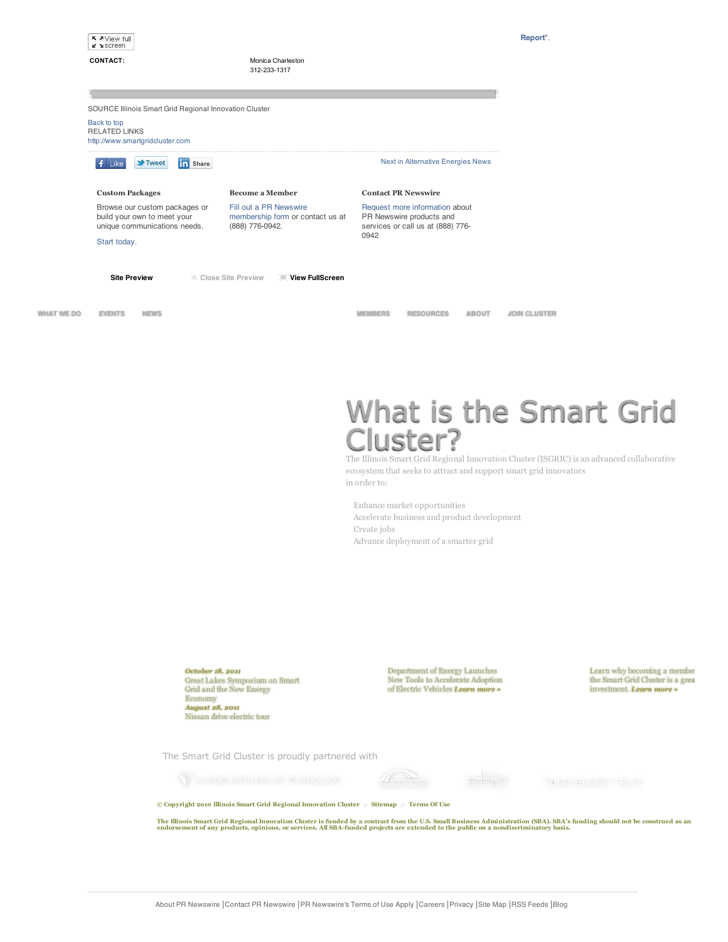|                   | K A View full<br><b>K</b> Screen                                                                                                 |                                                                               |                |                                                                                                 |              | Report".            |
|-------------------|----------------------------------------------------------------------------------------------------------------------------------|-------------------------------------------------------------------------------|----------------|-------------------------------------------------------------------------------------------------|--------------|---------------------|
|                   | <b>CONTACT:</b>                                                                                                                  | Monica Charleston<br>312-233-1317                                             |                |                                                                                                 |              |                     |
|                   |                                                                                                                                  |                                                                               |                |                                                                                                 |              |                     |
|                   | SOURCE Illinois Smart Grid Regional Innovation Cluster<br>Back to top<br><b>RELATED LINKS</b><br>http://www.smartgridcluster.com |                                                                               |                |                                                                                                 |              |                     |
|                   | in Share<br><b>St</b> -Tweet<br>Like                                                                                             |                                                                               |                | Next in Alternative Energies News                                                               |              |                     |
|                   | <b>Custom Packages</b>                                                                                                           | <b>Become a Member</b>                                                        |                | <b>Contact PR Newswire</b>                                                                      |              |                     |
|                   | Browse our custom packages or<br>build your own to meet your<br>unique communications needs.                                     | Fill out a PR Newswire<br>membership form or contact us at<br>(888) 776-0942. |                | Request more information about<br>PR Newswire products and<br>services or call us at (888) 776- |              |                     |
| Start today.      |                                                                                                                                  |                                                                               | 0942           |                                                                                                 |              |                     |
|                   | <b>Site Preview</b>                                                                                                              | View FullScreen<br>区 Close Site Preview                                       |                |                                                                                                 |              |                     |
|                   |                                                                                                                                  |                                                                               |                |                                                                                                 |              |                     |
| <b>WHAT WE DO</b> | <b>EVENTS</b><br><b>NEWS</b>                                                                                                     |                                                                               | <b>MEMBERS</b> | <b>RESOURCES</b>                                                                                | <b>ABOUT</b> | <b>JOIN CLUSTER</b> |

# What is the Smart Grid Cluster?

The Illinois Smart Grid Regional Innovation Cluster (ISGRIC) is an advanced collaborative ecosystem that seeks to attract and support smart grid innovators in order to:

Enhance market opportunities Accelerate business and product development Create jobs Advance deployment of a smarter grid

*October 18, 2011* Great Lakes Symposium on Smart Grid and the New Energy Economy *August 28, 2011* Nissan drive electric tour

Department of Energy Launches New Tools to Accelerate Adoption of Electric Vehicles *Learn more »*

**COLLEVANY** 

Learn why becoming a membe<br>the Smart Grid Cluster is a grea investment. *Learn more »*

The Smart Grid Cluster is proudly partnered with

**WILLINGIS INSTITUTE OF TECHNOLOGY** 



CLEAN ENERGY TRUST

**© Copyright 2010 Illinois Smart Grid Regional Innovation Cluster // Sitemap // Terms Of Use**

The Illinois Smart Grid Regional Innovation Cluster is funded by a contract from the U.S. Small Business Administration (SBA). SBA's funding should not be construed as an<br>endorsement of any products, opinions, or services.